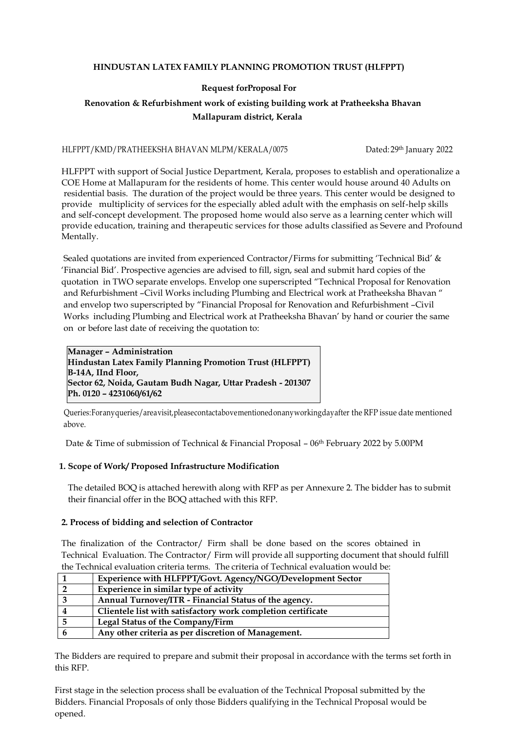### **HINDUSTAN LATEX FAMILY PLANNING PROMOTION TRUST (HLFPPT)**

# **Request forProposal For**

# **Renovation & Refurbishment work of existing building work at Pratheeksha Bhavan Mallapuram district, Kerala**

#### HLFPPT/KMD/PRATHEEKSHA BHAVAN MLPM/KERALA/0075 Dated: 29th January 2022

 HLFPPT with support of Social Justice Department, Kerala, proposes to establish and operationalize a COE Home at Mallapuram for the residents of home. This center would house around 40 Adults on residential basis. The duration of the project would be three years. This center would be designed to provide multiplicity of services for the especially abled adult with the emphasis on self-help skills and self-concept development. The proposed home would also serve as a learning center which will provide education, training and therapeutic services for those adults classified as Severe and Profound Mentally.

 Sealed quotations are invited from experienced Contractor/Firms for submitting 'Technical Bid' & 'Financial Bid'. Prospective agencies are advised to fill, sign, seal and submit hard copies of the quotation in TWO separate envelops. Envelop one superscripted "Technical Proposal for Renovation and Refurbishment –Civil Works including Plumbing and Electrical work at Pratheeksha Bhavan " and envelop two superscripted by "Financial Proposal for Renovation and Refurbishment –Civil Works including Plumbing and Electrical work at Pratheeksha Bhavan' by hand or courier the same on or before last date of receiving the quotation to:

**Manager – Administration Hindustan Latex Family Planning Promotion Trust (HLFPPT) B-14A, IInd Floor, Sector 62, Noida, Gautam Budh Nagar, Uttar Pradesh - 201307 Ph. 0120 – 4231060/61/62**

 Queries:Foranyqueries/areavisit,pleasecontactabovementionedonanyworkingdayafter the RFP issue date mentioned above.

Date & Time of submission of Technical & Financial Proposal – 06th February 2022 by 5.00PM

#### **1. Scope of Work/ Proposed Infrastructure Modification**

 The detailed BOQ is attached herewith along with RFP as per Annexure 2. The bidder has to submit their financial offer in the BOQ attached with this RFP.

#### **2. Process of bidding and selection of Contractor**

 The finalization of the Contractor/ Firm shall be done based on the scores obtained in Technical Evaluation. The Contractor/ Firm will provide all supporting document that should fulfill the Technical evaluation criteria terms. The criteria of Technical evaluation would be:

|   | Experience with HLFPPT/Govt. Agency/NGO/Development Sector   |
|---|--------------------------------------------------------------|
|   | Experience in similar type of activity                       |
|   | Annual Turnover/ITR - Financial Status of the agency.        |
|   | Clientele list with satisfactory work completion certificate |
|   | Legal Status of the Company/Firm                             |
| n | Any other criteria as per discretion of Management.          |

The Bidders are required to prepare and submit their proposal in accordance with the terms set forth in this RFP.

First stage in the selection process shall be evaluation of the Technical Proposal submitted by the Bidders. Financial Proposals of only those Bidders qualifying in the Technical Proposal would be opened.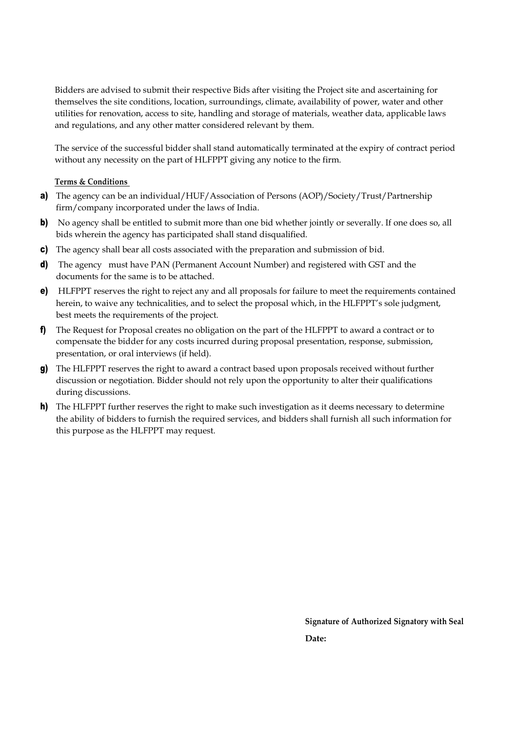Bidders are advised to submit their respective Bids after visiting the Project site and ascertaining for themselves the site conditions, location, surroundings, climate, availability of power, water and other utilities for renovation, access to site, handling and storage of materials, weather data, applicable laws and regulations, and any other matter considered relevant by them.

The service of the successful bidder shall stand automatically terminated at the expiry of contract period without any necessity on the part of HLFPPT giving any notice to the firm.

## **Terms & Conditions**

- a) The agency can be an individual/HUF/Association of Persons (AOP)/Society/Trust/Partnership firm/company incorporated under the laws of India.
- b) No agency shall be entitled to submit more than one bid whether jointly or severally. If one does so, all bids wherein the agency has participated shall stand disqualified.
- c) The agency shall bear all costs associated with the preparation and submission of bid.
- d) The agency must have PAN (Permanent Account Number) and registered with GST and the documents for the same is to be attached.
- e) HLFPPT reserves the right to reject any and all proposals for failure to meet the requirements contained herein, to waive any technicalities, and to select the proposal which, in the HLFPPT's sole judgment, best meets the requirements of the project.
- f) The Request for Proposal creates no obligation on the part of the HLFPPT to award a contract or to compensate the bidder for any costs incurred during proposal presentation, response, submission, presentation, or oral interviews (if held).
- g) The HLFPPT reserves the right to award a contract based upon proposals received without further discussion or negotiation. Bidder should not rely upon the opportunity to alter their qualifications during discussions.
- h) The HLFPPT further reserves the right to make such investigation as it deems necessary to determine the ability of bidders to furnish the required services, and bidders shall furnish all such information for this purpose as the HLFPPT may request.

**Signature of Authorized Signatory with Seal** *Date:* **Date:**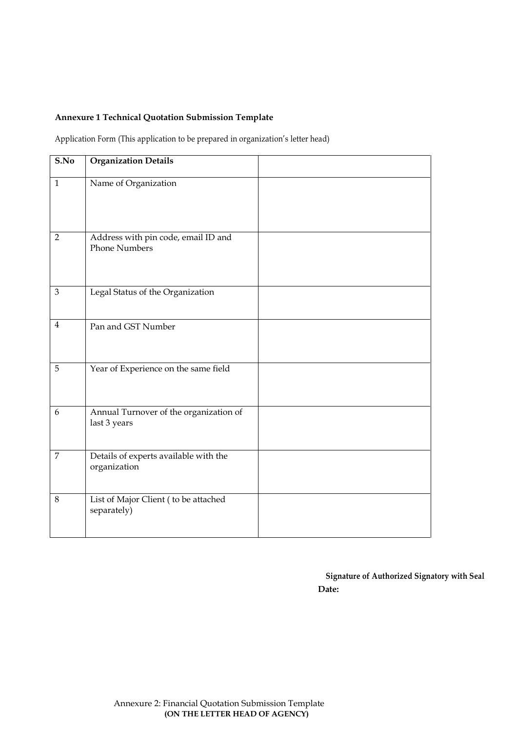## **Annexure 1 Technical Quotation Submission Template**

Application Form (This application to be prepared in organization's letter head)

| S.No           | <b>Organization Details</b>                                 |  |
|----------------|-------------------------------------------------------------|--|
| $\mathbf{1}$   | Name of Organization                                        |  |
| $\overline{2}$ | Address with pin code, email ID and<br><b>Phone Numbers</b> |  |
| 3              | Legal Status of the Organization                            |  |
| $\overline{4}$ | Pan and GST Number                                          |  |
| 5              | Year of Experience on the same field                        |  |
| 6              | Annual Turnover of the organization of<br>last 3 years      |  |
| $\overline{7}$ | Details of experts available with the<br>organization       |  |
| 8              | List of Major Client (to be attached<br>separately)         |  |

**Signature of Authorized Signatory with Seal Date:**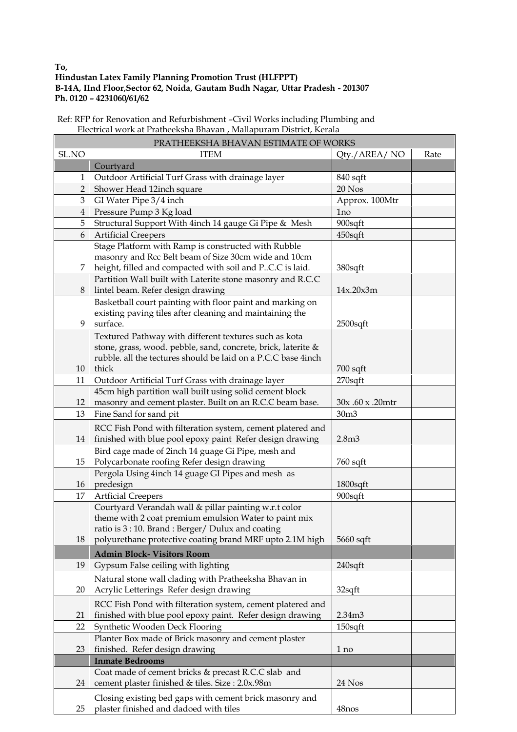# **Hindustan Latex Family Planning Promotion Trust (HLFPPT) B-14A, IInd Floor,Sector 62, Noida, Gautam Budh Nagar, Uttar Pradesh - 201307 Ph. 0120 – 4231060/61/62**

| Ref: RFP for Renovation and Refurbishment -Civil Works including Plumbing and |  |
|-------------------------------------------------------------------------------|--|
| Electrical work at Pratheeksha Bhavan, Mallapuram District, Kerala            |  |

 $\overline{\phantom{0}}$ 

| PRATHEEKSHA BHAVAN ESTIMATE OF WORKS |                                                                                                                |                   |      |  |
|--------------------------------------|----------------------------------------------------------------------------------------------------------------|-------------------|------|--|
| SL.NO                                | <b>ITEM</b>                                                                                                    | Qty./AREA/NO      | Rate |  |
|                                      | Courtyard                                                                                                      |                   |      |  |
| $\mathbf{1}$                         | Outdoor Artificial Turf Grass with drainage layer                                                              | 840 sqft          |      |  |
| $\overline{2}$                       | Shower Head 12inch square                                                                                      | 20 Nos            |      |  |
| 3                                    | GI Water Pipe 3/4 inch                                                                                         | Approx. 100Mtr    |      |  |
| $\overline{4}$                       | Pressure Pump 3 Kg load                                                                                        | 1 <sub>no</sub>   |      |  |
| 5                                    | Structural Support With 4inch 14 gauge Gi Pipe & Mesh                                                          | 900sqft           |      |  |
| 6                                    | <b>Artificial Creepers</b>                                                                                     | 450sqft           |      |  |
|                                      | Stage Platform with Ramp is constructed with Rubble                                                            |                   |      |  |
|                                      | masonry and Rcc Belt beam of Size 30cm wide and 10cm                                                           |                   |      |  |
| 7                                    | height, filled and compacted with soil and P.C.C is laid.                                                      | 380sqft           |      |  |
|                                      | Partition Wall built with Laterite stone masonry and R.C.C                                                     |                   |      |  |
| 8                                    | lintel beam. Refer design drawing                                                                              | 14x.20x3m         |      |  |
|                                      | Basketball court painting with floor paint and marking on                                                      |                   |      |  |
|                                      | existing paving tiles after cleaning and maintaining the                                                       |                   |      |  |
| 9                                    | surface.                                                                                                       | $2500$ sqft       |      |  |
|                                      | Textured Pathway with different textures such as kota                                                          |                   |      |  |
|                                      | stone, grass, wood. pebble, sand, concrete, brick, laterite &                                                  |                   |      |  |
|                                      | rubble, all the tectures should be laid on a P.C.C base 4inch                                                  |                   |      |  |
| 10                                   | thick                                                                                                          | $700$ sqft        |      |  |
| 11                                   | Outdoor Artificial Turf Grass with drainage layer                                                              | $270$ sqft        |      |  |
|                                      | 45cm high partition wall built using solid cement block                                                        |                   |      |  |
| 12                                   | masonry and cement plaster. Built on an R.C.C beam base.                                                       | 30x .60 x .20mtr  |      |  |
| 13                                   | Fine Sand for sand pit                                                                                         | 30 <sub>m3</sub>  |      |  |
|                                      | RCC Fish Pond with filteration system, cement platered and                                                     |                   |      |  |
| 14                                   | finished with blue pool epoxy paint Refer design drawing                                                       | 2.8 <sub>m3</sub> |      |  |
|                                      | Bird cage made of 2inch 14 guage Gi Pipe, mesh and                                                             |                   |      |  |
| 15                                   | Polycarbonate roofing Refer design drawing                                                                     | $760$ sqft        |      |  |
|                                      | Pergola Using 4inch 14 guage GI Pipes and mesh as                                                              |                   |      |  |
| 16                                   | predesign                                                                                                      | 1800sqft          |      |  |
| 17                                   | <b>Artficial Creepers</b>                                                                                      | 900sqft           |      |  |
|                                      | Courtyard Verandah wall & pillar painting w.r.t color<br>theme with 2 coat premium emulsion Water to paint mix |                   |      |  |
|                                      | ratio is 3:10. Brand: Berger/ Dulux and coating                                                                |                   |      |  |
| 18                                   | polyurethane protective coating brand MRF upto 2.1M high                                                       | $5660$ sqft       |      |  |
|                                      | <b>Admin Block- Visitors Room</b>                                                                              |                   |      |  |
|                                      |                                                                                                                |                   |      |  |
| 19                                   | Gypsum False ceiling with lighting                                                                             | 240sqft           |      |  |
|                                      | Natural stone wall clading with Pratheeksha Bhavan in                                                          |                   |      |  |
| 20                                   | Acrylic Letterings Refer design drawing                                                                        | 32sqft            |      |  |
|                                      | RCC Fish Pond with filteration system, cement platered and                                                     |                   |      |  |
| 21                                   | finished with blue pool epoxy paint. Refer design drawing                                                      | 2.34m3            |      |  |
| 22                                   | Synthetic Wooden Deck Flooring                                                                                 | $150$ sqft        |      |  |
|                                      | Planter Box made of Brick masonry and cement plaster                                                           |                   |      |  |
| 23                                   | finished. Refer design drawing                                                                                 | 1 no              |      |  |
|                                      | <b>Inmate Bedrooms</b>                                                                                         |                   |      |  |
|                                      | Coat made of cement bricks & precast R.C.C slab and                                                            |                   |      |  |
| 24                                   | cement plaster finished & tiles. Size : 2.0x.98m                                                               | 24 Nos            |      |  |
|                                      | Closing existing bed gaps with cement brick masonry and                                                        |                   |      |  |
| 25                                   | plaster finished and dadoed with tiles                                                                         | 48nos             |      |  |

**To,**